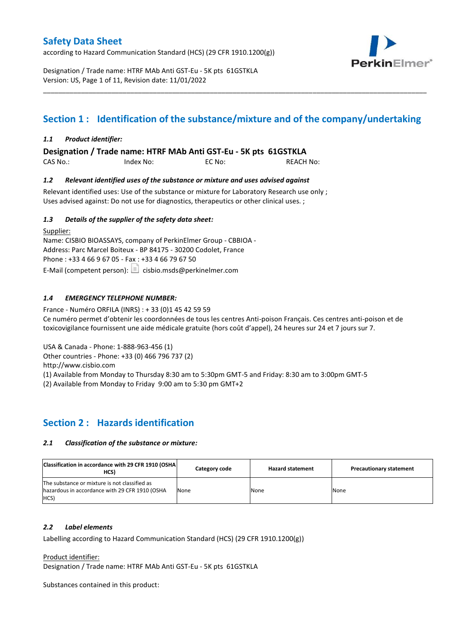according to Hazard Communication Standard (HCS) (29 CFR 1910.1200(g))



Designation / Trade name: HTRF MAb Anti GST-Eu - 5K pts 61GSTKLA Version: US, Page 1 of 11, Revision date: 11/01/2022

# **Section 1 : Identification of the substance/mixture and of the company/undertaking**

\_\_\_\_\_\_\_\_\_\_\_\_\_\_\_\_\_\_\_\_\_\_\_\_\_\_\_\_\_\_\_\_\_\_\_\_\_\_\_\_\_\_\_\_\_\_\_\_\_\_\_\_\_\_\_\_\_\_\_\_\_\_\_\_\_\_\_\_\_\_\_\_\_\_\_\_\_\_\_\_\_\_\_\_\_\_\_\_\_\_\_\_\_\_\_\_\_\_\_\_\_

### *1.1 Product identifier:*

**Designation / Trade name: HTRF MAb Anti GST-Eu - 5K pts 61GSTKLA** 

| CAS No.: | Index No: | EC No: | <b>REACH No:</b> |
|----------|-----------|--------|------------------|
|          |           |        |                  |

### *1.2 Relevant identified uses of the substance or mixture and uses advised against*

Relevant identified uses: Use of the substance or mixture for Laboratory Research use only ; Uses advised against: Do not use for diagnostics, therapeutics or other clinical uses. ;

### *1.3 Details of the supplier of the safety data sheet:*

Supplier: Name: CISBIO BIOASSAYS, company of PerkinElmer Group - CBBIOA - Address: Parc Marcel Boiteux - BP 84175 - 30200 Codolet, France Phone : +33 4 66 9 67 05 - Fax : +33 4 66 79 67 50 E-Mail (competent person):  $\boxed{\equiv}$  cisbio.msds@perkinelmer.com

### *1.4 EMERGENCY TELEPHONE NUMBER:*

France - Numéro ORFILA (INRS) : + 33 (0)1 45 42 59 59 Ce numéro permet d'obtenir les coordonnées de tous les centres Anti-poison Français. Ces centres anti-poison et de toxicovigilance fournissent une aide médicale gratuite (hors coût d'appel), 24 heures sur 24 et 7 jours sur 7.

USA & Canada - Phone: 1-888-963-456 (1)

Other countries - Phone: +33 (0) 466 796 737 (2)

http://www.cisbio.com

(1) Available from Monday to Thursday 8:30 am to 5:30pm GMT-5 and Friday: 8:30 am to 3:00pm GMT-5

(2) Available from Monday to Friday 9:00 am to 5:30 pm GMT+2

### **Section 2 : Hazards identification**

#### *2.1 Classification of the substance or mixture:*

| Classification in accordance with 29 CFR 1910 (OSHA)<br>HCS)                                            | Category code | <b>Hazard statement</b> | <b>Precautionary statement</b> |
|---------------------------------------------------------------------------------------------------------|---------------|-------------------------|--------------------------------|
| The substance or mixture is not classified as<br>hazardous in accordance with 29 CFR 1910 (OSHA<br>HCS) | None          | None                    | None                           |

#### *2.2 Label elements*

Labelling according to Hazard Communication Standard (HCS) (29 CFR 1910.1200(g))

Product identifier:

Designation / Trade name: HTRF MAb Anti GST-Eu - 5K pts 61GSTKLA

Substances contained in this product: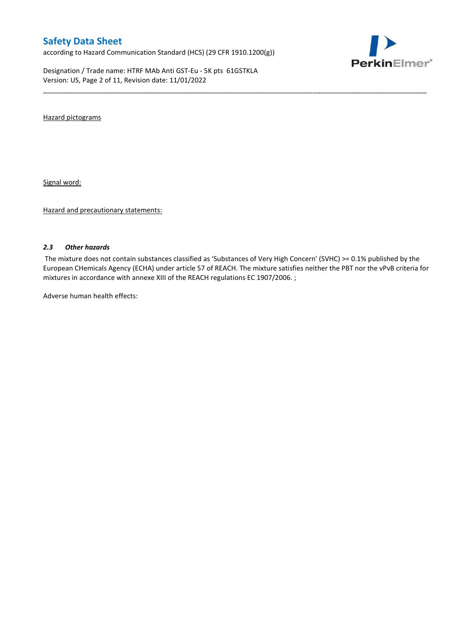according to Hazard Communication Standard (HCS) (29 CFR 1910.1200(g))

Designation / Trade name: HTRF MAb Anti GST-Eu - 5K pts 61GSTKLA Version: US, Page 2 of 11, Revision date: 11/01/2022



Hazard pictograms

Signal word:

Hazard and precautionary statements:

#### *2.3 Other hazards*

The mixture does not contain substances classified as 'Substances of Very High Concern' (SVHC) >= 0.1% published by the European CHemicals Agency (ECHA) under article 57 of REACH. The mixture satisfies neither the PBT nor the vPvB criteria for mixtures in accordance with annexe XIII of the REACH regulations EC 1907/2006. ;

\_\_\_\_\_\_\_\_\_\_\_\_\_\_\_\_\_\_\_\_\_\_\_\_\_\_\_\_\_\_\_\_\_\_\_\_\_\_\_\_\_\_\_\_\_\_\_\_\_\_\_\_\_\_\_\_\_\_\_\_\_\_\_\_\_\_\_\_\_\_\_\_\_\_\_\_\_\_\_\_\_\_\_\_\_\_\_\_\_\_\_\_\_\_\_\_\_\_\_\_\_

Adverse human health effects: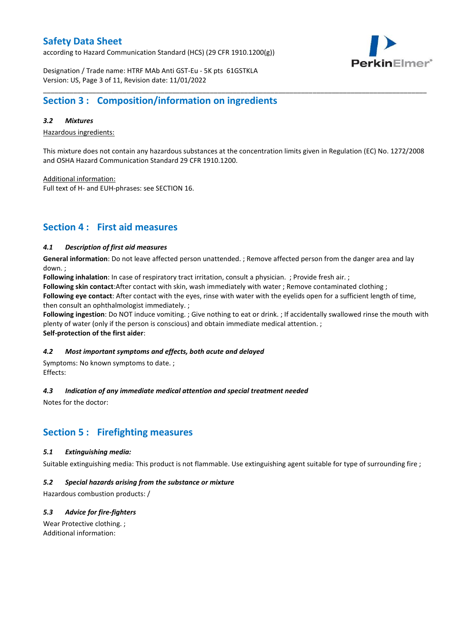according to Hazard Communication Standard (HCS) (29 CFR 1910.1200(g))



Designation / Trade name: HTRF MAb Anti GST-Eu - 5K pts 61GSTKLA Version: US, Page 3 of 11, Revision date: 11/01/2022

# **Section 3 : Composition/information on ingredients**

### *3.2 Mixtures*

Hazardous ingredients:

This mixture does not contain any hazardous substances at the concentration limits given in Regulation (EC) No. 1272/2008 and OSHA Hazard Communication Standard 29 CFR 1910.1200.

\_\_\_\_\_\_\_\_\_\_\_\_\_\_\_\_\_\_\_\_\_\_\_\_\_\_\_\_\_\_\_\_\_\_\_\_\_\_\_\_\_\_\_\_\_\_\_\_\_\_\_\_\_\_\_\_\_\_\_\_\_\_\_\_\_\_\_\_\_\_\_\_\_\_\_\_\_\_\_\_\_\_\_\_\_\_\_\_\_\_\_\_\_\_\_\_\_\_\_\_\_

Additional information:

Full text of H- and EUH-phrases: see SECTION 16.

### **Section 4 : First aid measures**

#### *4.1 Description of first aid measures*

**General information**: Do not leave affected person unattended. ; Remove affected person from the danger area and lay down. ;

**Following inhalation**: In case of respiratory tract irritation, consult a physician. ; Provide fresh air. ;

**Following skin contact**:After contact with skin, wash immediately with water ; Remove contaminated clothing ;

**Following eye contact**: After contact with the eyes, rinse with water with the eyelids open for a sufficient length of time, then consult an ophthalmologist immediately. ;

**Following ingestion**: Do NOT induce vomiting. ; Give nothing to eat or drink. ; If accidentally swallowed rinse the mouth with plenty of water (only if the person is conscious) and obtain immediate medical attention. ; **Self-protection of the first aider**:

#### *4.2 Most important symptoms and effects, both acute and delayed*

Symptoms: No known symptoms to date. ; Effects:

### *4.3 Indication of any immediate medical attention and special treatment needed*

Notes for the doctor:

# **Section 5 : Firefighting measures**

#### *5.1 Extinguishing media:*

Suitable extinguishing media: This product is not flammable. Use extinguishing agent suitable for type of surrounding fire ;

#### *5.2 Special hazards arising from the substance or mixture*

Hazardous combustion products: /

### *5.3 Advice for fire-fighters*

Wear Protective clothing. ; Additional information: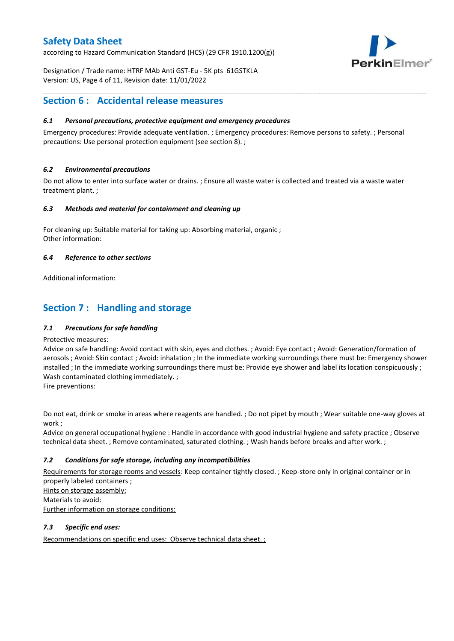according to Hazard Communication Standard (HCS) (29 CFR 1910.1200(g))



Designation / Trade name: HTRF MAb Anti GST-Eu - 5K pts 61GSTKLA Version: US, Page 4 of 11, Revision date: 11/01/2022

### **Section 6 : Accidental release measures**

### *6.1 Personal precautions, protective equipment and emergency procedures*

Emergency procedures: Provide adequate ventilation. ; Emergency procedures: Remove persons to safety. ; Personal precautions: Use personal protection equipment (see section 8). ;

\_\_\_\_\_\_\_\_\_\_\_\_\_\_\_\_\_\_\_\_\_\_\_\_\_\_\_\_\_\_\_\_\_\_\_\_\_\_\_\_\_\_\_\_\_\_\_\_\_\_\_\_\_\_\_\_\_\_\_\_\_\_\_\_\_\_\_\_\_\_\_\_\_\_\_\_\_\_\_\_\_\_\_\_\_\_\_\_\_\_\_\_\_\_\_\_\_\_\_\_\_

### *6.2 Environmental precautions*

Do not allow to enter into surface water or drains. ; Ensure all waste water is collected and treated via a waste water treatment plant. ;

#### *6.3 Methods and material for containment and cleaning up*

For cleaning up: Suitable material for taking up: Absorbing material, organic ; Other information:

### *6.4 Reference to other sections*

Additional information:

# **Section 7 : Handling and storage**

### *7.1 Precautions for safe handling*

#### Protective measures:

Advice on safe handling: Avoid contact with skin, eyes and clothes. ; Avoid: Eye contact ; Avoid: Generation/formation of aerosols ; Avoid: Skin contact ; Avoid: inhalation ; In the immediate working surroundings there must be: Emergency shower installed ; In the immediate working surroundings there must be: Provide eye shower and label its location conspicuously; Wash contaminated clothing immediately. ;

Fire preventions:

Do not eat, drink or smoke in areas where reagents are handled. ; Do not pipet by mouth ; Wear suitable one-way gloves at work ;

Advice on general occupational hygiene : Handle in accordance with good industrial hygiene and safety practice ; Observe technical data sheet. ; Remove contaminated, saturated clothing. ; Wash hands before breaks and after work. ;

### *7.2 Conditions for safe storage, including any incompatibilities*

Requirements for storage rooms and vessels: Keep container tightly closed. ; Keep-store only in original container or in properly labeled containers ; Hints on storage assembly: Materials to avoid:

Further information on storage conditions:

### *7.3 Specific end uses:*

Recommendations on specific end uses: Observe technical data sheet. ;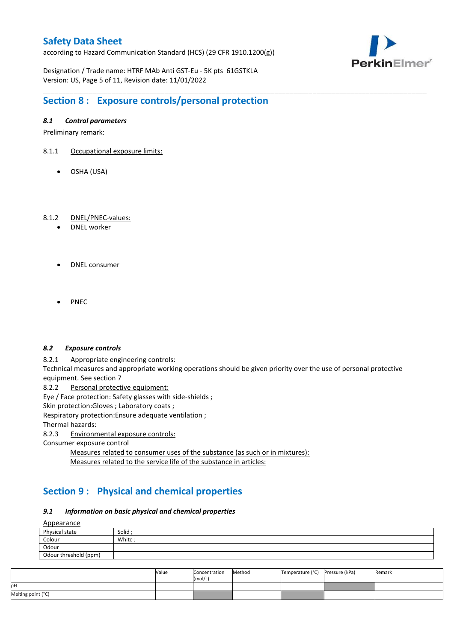according to Hazard Communication Standard (HCS) (29 CFR 1910.1200(g))



Designation / Trade name: HTRF MAb Anti GST-Eu - 5K pts 61GSTKLA Version: US, Page 5 of 11, Revision date: 11/01/2022

# **Section 8 : Exposure controls/personal protection**

### *8.1 Control parameters*

Preliminary remark:

- 8.1.1 Occupational exposure limits:
	- OSHA (USA)

### 8.1.2 DNEL/PNEC-values:

- DNEL worker
- DNEL consumer
- PNEC

#### *8.2 Exposure controls*

8.2.1 Appropriate engineering controls:

Technical measures and appropriate working operations should be given priority over the use of personal protective equipment. See section 7

\_\_\_\_\_\_\_\_\_\_\_\_\_\_\_\_\_\_\_\_\_\_\_\_\_\_\_\_\_\_\_\_\_\_\_\_\_\_\_\_\_\_\_\_\_\_\_\_\_\_\_\_\_\_\_\_\_\_\_\_\_\_\_\_\_\_\_\_\_\_\_\_\_\_\_\_\_\_\_\_\_\_\_\_\_\_\_\_\_\_\_\_\_\_\_\_\_\_\_\_\_

8.2.2 Personal protective equipment:

Eye / Face protection: Safety glasses with side-shields ;

Skin protection: Gloves ; Laboratory coats ;

Respiratory protection:Ensure adequate ventilation ;

Thermal hazards:

8.2.3 Environmental exposure controls:

Consumer exposure control

Measures related to consumer uses of the substance (as such or in mixtures): Measures related to the service life of the substance in articles:

# **Section 9 : Physical and chemical properties**

#### *9.1 Information on basic physical and chemical properties*

**A**ppearance

| <u>rippediance</u>    |         |
|-----------------------|---------|
| Physical state        | Solid ; |
| Colour                | White;  |
| Odour                 |         |
| Odour threshold (ppm) |         |

|                    | Value | Concentration<br>(mol/L) | Method | Temperature (°C) Pressure (kPa) | Remark |
|--------------------|-------|--------------------------|--------|---------------------------------|--------|
| pН                 |       |                          |        |                                 |        |
| Melting point (°C) |       |                          |        |                                 |        |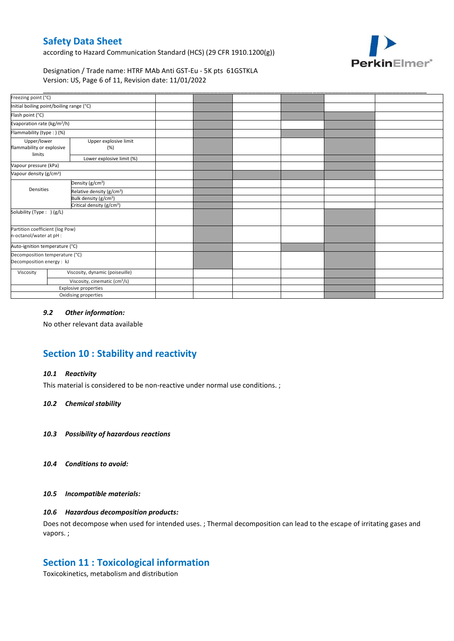according to Hazard Communication Standard (HCS) (29 CFR 1910.1200(g))



Designation / Trade name: HTRF MAb Anti GST-Eu - 5K pts 61GSTKLA Version: US, Page 6 of 11, Revision date: 11/01/2022

| Freezing point (°C)                                         |                              |                                                                                                                                                                                                                                                                                     |  |  |  |
|-------------------------------------------------------------|------------------------------|-------------------------------------------------------------------------------------------------------------------------------------------------------------------------------------------------------------------------------------------------------------------------------------|--|--|--|
| Initial boiling point/boiling range (°C)                    |                              |                                                                                                                                                                                                                                                                                     |  |  |  |
|                                                             |                              |                                                                                                                                                                                                                                                                                     |  |  |  |
| Evaporation rate (kg/m <sup>2</sup> /h)                     |                              |                                                                                                                                                                                                                                                                                     |  |  |  |
| Flammability (type: ) (%)                                   |                              |                                                                                                                                                                                                                                                                                     |  |  |  |
| Upper/lower<br>flammability or explosive                    | Upper explosive limit<br>(%) |                                                                                                                                                                                                                                                                                     |  |  |  |
|                                                             | Lower explosive limit (%)    |                                                                                                                                                                                                                                                                                     |  |  |  |
| Vapour pressure (kPa)                                       |                              |                                                                                                                                                                                                                                                                                     |  |  |  |
| Vapour density (g/cm <sup>3</sup> )                         |                              |                                                                                                                                                                                                                                                                                     |  |  |  |
|                                                             |                              |                                                                                                                                                                                                                                                                                     |  |  |  |
| Densities                                                   |                              |                                                                                                                                                                                                                                                                                     |  |  |  |
|                                                             |                              |                                                                                                                                                                                                                                                                                     |  |  |  |
|                                                             |                              |                                                                                                                                                                                                                                                                                     |  |  |  |
| Solubility (Type: ) (g/L)                                   |                              |                                                                                                                                                                                                                                                                                     |  |  |  |
| Partition coefficient (log Pow)<br>n-octanol/water at pH :  |                              |                                                                                                                                                                                                                                                                                     |  |  |  |
| Auto-ignition temperature (°C)                              |                              |                                                                                                                                                                                                                                                                                     |  |  |  |
| Decomposition temperature (°C)<br>Decomposition energy : kJ |                              |                                                                                                                                                                                                                                                                                     |  |  |  |
|                                                             |                              |                                                                                                                                                                                                                                                                                     |  |  |  |
|                                                             |                              |                                                                                                                                                                                                                                                                                     |  |  |  |
|                                                             |                              |                                                                                                                                                                                                                                                                                     |  |  |  |
|                                                             |                              |                                                                                                                                                                                                                                                                                     |  |  |  |
|                                                             |                              | Density (g/cm <sup>3</sup> )<br>Relative density (g/cm <sup>3</sup> )<br>Bulk density (g/cm <sup>3</sup> )<br>Critical density (g/cm <sup>3</sup> )<br>Viscosity, dynamic (poiseuille)<br>Viscosity, cinematic (cm <sup>3</sup> /s)<br>Explosive properties<br>Oxidising properties |  |  |  |

### *9.2 Other information:*

No other relevant data available

# **Section 10 : Stability and reactivity**

#### *10.1 Reactivity*

This material is considered to be non-reactive under normal use conditions. ;

#### *10.2 Chemical stability*

- *10.3 Possibility of hazardous reactions*
- *10.4 Conditions to avoid:*

#### *10.5 Incompatible materials:*

### *10.6 Hazardous decomposition products:*

Does not decompose when used for intended uses. ; Thermal decomposition can lead to the escape of irritating gases and vapors. ;

### **Section 11 : Toxicological information**

Toxicokinetics, metabolism and distribution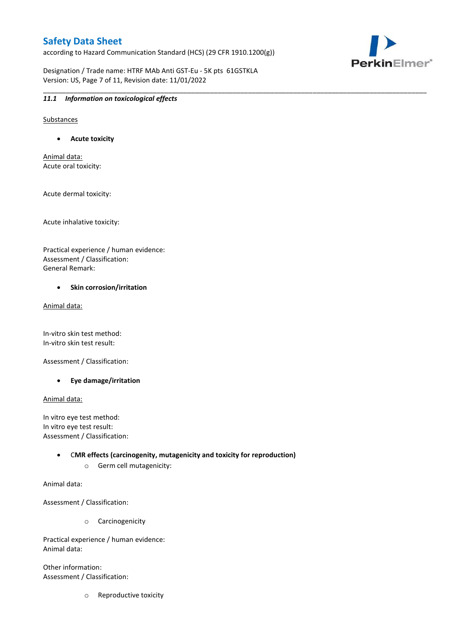according to Hazard Communication Standard (HCS) (29 CFR 1910.1200(g))

Designation / Trade name: HTRF MAb Anti GST-Eu - 5K pts 61GSTKLA Version: US, Page 7 of 11, Revision date: 11/01/2022

\_\_\_\_\_\_\_\_\_\_\_\_\_\_\_\_\_\_\_\_\_\_\_\_\_\_\_\_\_\_\_\_\_\_\_\_\_\_\_\_\_\_\_\_\_\_\_\_\_\_\_\_\_\_\_\_\_\_\_\_\_\_\_\_\_\_\_\_\_\_\_\_\_\_\_\_\_\_\_\_\_\_\_\_\_\_\_\_\_\_\_\_\_\_\_\_\_\_\_\_\_



#### *11.1 Information on toxicological effects*

Substances

**Acute toxicity**

Animal data: Acute oral toxicity:

Acute dermal toxicity:

Acute inhalative toxicity:

Practical experience / human evidence: Assessment / Classification: General Remark:

#### **•** Skin corrosion/irritation

Animal data:

In-vitro skin test method: In-vitro skin test result:

Assessment / Classification:

**Eye damage/irritation**

Animal data:

In vitro eye test method: In vitro eye test result: Assessment / Classification:

> C**MR effects (carcinogenity, mutagenicity and toxicity for reproduction)** o Germ cell mutagenicity:

Animal data:

Assessment / Classification:

o Carcinogenicity

Practical experience / human evidence: Animal data:

Other information: Assessment / Classification:

o Reproductive toxicity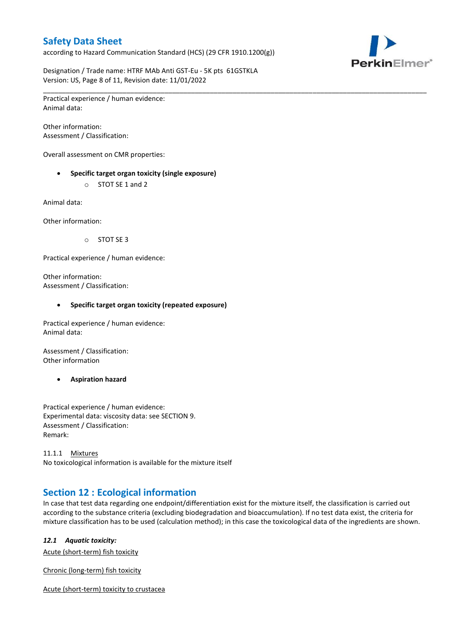according to Hazard Communication Standard (HCS) (29 CFR 1910.1200(g))



Designation / Trade name: HTRF MAb Anti GST-Eu - 5K pts 61GSTKLA Version: US, Page 8 of 11, Revision date: 11/01/2022

\_\_\_\_\_\_\_\_\_\_\_\_\_\_\_\_\_\_\_\_\_\_\_\_\_\_\_\_\_\_\_\_\_\_\_\_\_\_\_\_\_\_\_\_\_\_\_\_\_\_\_\_\_\_\_\_\_\_\_\_\_\_\_\_\_\_\_\_\_\_\_\_\_\_\_\_\_\_\_\_\_\_\_\_\_\_\_\_\_\_\_\_\_\_\_\_\_\_\_\_\_ Practical experience / human evidence: Animal data:

Other information: Assessment / Classification:

Overall assessment on CMR properties:

- **Specific target organ toxicity (single exposure)**
	- o STOT SE 1 and 2

Animal data:

Other information:

o STOT SE 3

Practical experience / human evidence:

Other information: Assessment / Classification:

#### **Specific target organ toxicity (repeated exposure)**

Practical experience / human evidence: Animal data:

Assessment / Classification: Other information

**Aspiration hazard**

Practical experience / human evidence: Experimental data: viscosity data: see SECTION 9. Assessment / Classification: Remark:

11.1.1 Mixtures No toxicological information is available for the mixture itself

# **Section 12 : Ecological information**

In case that test data regarding one endpoint/differentiation exist for the mixture itself, the classification is carried out according to the substance criteria (excluding biodegradation and bioaccumulation). If no test data exist, the criteria for mixture classification has to be used (calculation method); in this case the toxicological data of the ingredients are shown.

#### *12.1 Aquatic toxicity:*

Acute (short-term) fish toxicity

Chronic (long-term) fish toxicity

Acute (short-term) toxicity to crustacea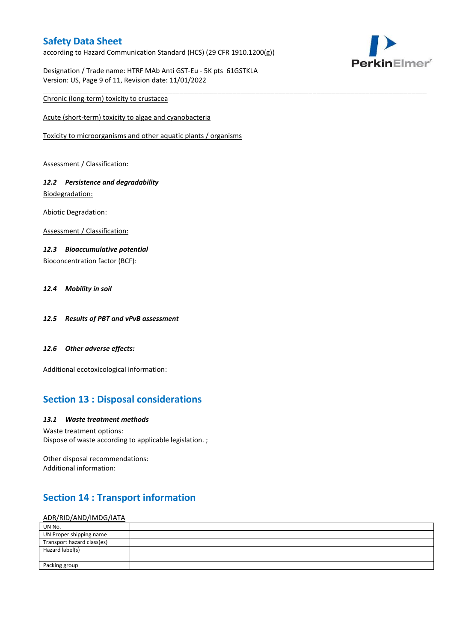according to Hazard Communication Standard (HCS) (29 CFR 1910.1200(g))

\_\_\_\_\_\_\_\_\_\_\_\_\_\_\_\_\_\_\_\_\_\_\_\_\_\_\_\_\_\_\_\_\_\_\_\_\_\_\_\_\_\_\_\_\_\_\_\_\_\_\_\_\_\_\_\_\_\_\_\_\_\_\_\_\_\_\_\_\_\_\_\_\_\_\_\_\_\_\_\_\_\_\_\_\_\_\_\_\_\_\_\_\_\_\_\_\_\_\_\_\_



Designation / Trade name: HTRF MAb Anti GST-Eu - 5K pts 61GSTKLA Version: US, Page 9 of 11, Revision date: 11/01/2022

### Chronic (long-term) toxicity to crustacea

Acute (short-term) toxicity to algae and cyanobacteria

Toxicity to microorganisms and other aquatic plants / organisms

Assessment / Classification:

### *12.2 Persistence and degradability* Biodegradation:

Abiotic Degradation:

Assessment / Classification:

### *12.3 Bioaccumulative potential*

Bioconcentration factor (BCF):

### *12.4 Mobility in soil*

- *12.5 Results of PBT and vPvB assessment*
- *12.6 Other adverse effects:*

Additional ecotoxicological information:

# **Section 13 : Disposal considerations**

#### *13.1 Waste treatment methods*

Waste treatment options: Dispose of waste according to applicable legislation. ;

Other disposal recommendations: Additional information:

# **Section 14 : Transport information**

#### ADR/RID/AND/IMDG/IATA

| UN No.                     |  |
|----------------------------|--|
| UN Proper shipping name    |  |
| Transport hazard class(es) |  |
| Hazard label(s)            |  |
|                            |  |
| Packing group              |  |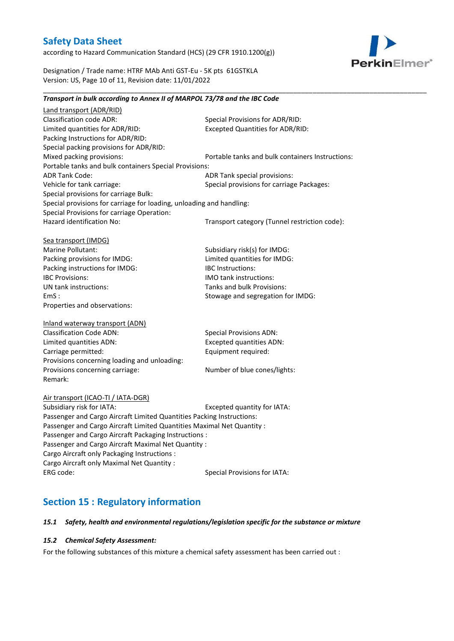according to Hazard Communication Standard (HCS) (29 CFR 1910.1200(g))



Designation / Trade name: HTRF MAb Anti GST-Eu - 5K pts 61GSTKLA Version: US, Page 10 of 11, Revision date: 11/01/2022

### *Transport in bulk according to Annex II of MARPOL 73/78 and the IBC Code*

\_\_\_\_\_\_\_\_\_\_\_\_\_\_\_\_\_\_\_\_\_\_\_\_\_\_\_\_\_\_\_\_\_\_\_\_\_\_\_\_\_\_\_\_\_\_\_\_\_\_\_\_\_\_\_\_\_\_\_\_\_\_\_\_\_\_\_\_\_\_\_\_\_\_\_\_\_\_\_\_\_\_\_\_\_\_\_\_\_\_\_\_\_\_\_\_\_\_\_\_\_

Land transport (ADR/RID) Classification code ADR: Special Provisions for ADR/RID:<br>
Limited quantities for ADR/RID: Excepted Quantities for ADR/RI Excepted Quantities for ADR/RID: Packing Instructions for ADR/RID: Special packing provisions for ADR/RID: Mixed packing provisions: Portable tanks and bulk containers Instructions: Portable tanks and bulk containers Special Provisions: ADR Tank Code: ADR Tank special provisions: Vehicle for tank carriage:  $S$  Special provisions for carriage Packages: Special provisions for carriage Bulk: Special provisions for carriage for loading, unloading and handling: Special Provisions for carriage Operation: Hazard identification No: Transport category (Tunnel restriction code): Sea transport (IMDG) Marine Pollutant: Subsidiary risk(s) for IMDG: Packing provisions for IMDG: Limited quantities for IMDG: Packing instructions for IMDG: IBC Instructions: IBC Provisions: IMO tank instructions: UN tank instructions: Tanks and bulk Provisions: EmS : Stowage and segregation for IMDG: Properties and observations: Inland waterway transport (ADN) Classification Code ADN: Special Provisions ADN: Limited quantities ADN: Excepted quantities ADN: Carriage permitted: Carriage permitted: Provisions concerning loading and unloading: Provisions concerning carriage: Number of blue cones/lights: Remark: Air transport (ICAO-TI / IATA-DGR) Subsidiary risk for IATA: Excepted quantity for IATA: Passenger and Cargo Aircraft Limited Quantities Packing Instructions: Passenger and Cargo Aircraft Limited Quantities Maximal Net Quantity : Passenger and Cargo Aircraft Packaging Instructions : Passenger and Cargo Aircraft Maximal Net Quantity : Cargo Aircraft only Packaging Instructions : Cargo Aircraft only Maximal Net Quantity : ERG code: Special Provisions for IATA:

# **Section 15 : Regulatory information**

#### *15.1 Safety, health and environmental regulations/legislation specific for the substance or mixture*

#### *15.2 Chemical Safety Assessment:*

For the following substances of this mixture a chemical safety assessment has been carried out :